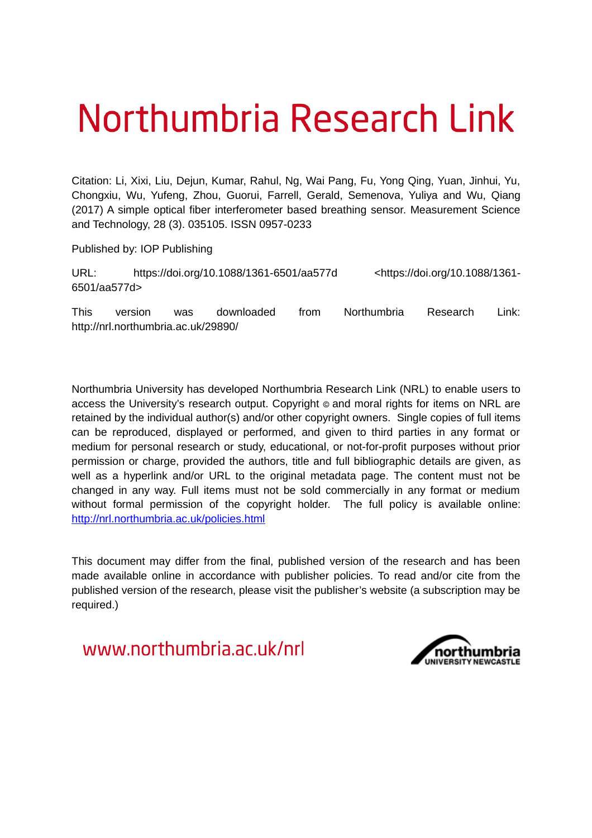# Northumbria Research Link

Citation: Li, Xixi, Liu, Dejun, Kumar, Rahul, Ng, Wai Pang, Fu, Yong Qing, Yuan, Jinhui, Yu, Chongxiu, Wu, Yufeng, Zhou, Guorui, Farrell, Gerald, Semenova, Yuliya and Wu, Qiang (2017) A simple optical fiber interferometer based breathing sensor. Measurement Science and Technology, 28 (3). 035105. ISSN 0957-0233

Published by: IOP Publishing

URL: https://doi.org/10.1088/1361-6501/aa577d <https://doi.org/10.1088/1361- 6501/aa577d>

This version was downloaded from Northumbria Research Link: http://nrl.northumbria.ac.uk/29890/

Northumbria University has developed Northumbria Research Link (NRL) to enable users to access the University's research output. Copyright  $\circ$  and moral rights for items on NRL are retained by the individual author(s) and/or other copyright owners. Single copies of full items can be reproduced, displayed or performed, and given to third parties in any format or medium for personal research or study, educational, or not-for-profit purposes without prior permission or charge, provided the authors, title and full bibliographic details are given, as well as a hyperlink and/or URL to the original metadata page. The content must not be changed in any way. Full items must not be sold commercially in any format or medium without formal permission of the copyright holder. The full policy is available online: <http://nrl.northumbria.ac.uk/policies.html>

This document may differ from the final, published version of the research and has been made available online in accordance with publisher policies. To read and/or cite from the published version of the research, please visit the publisher's website (a subscription may be required.)

www.northumbria.ac.uk/nrl

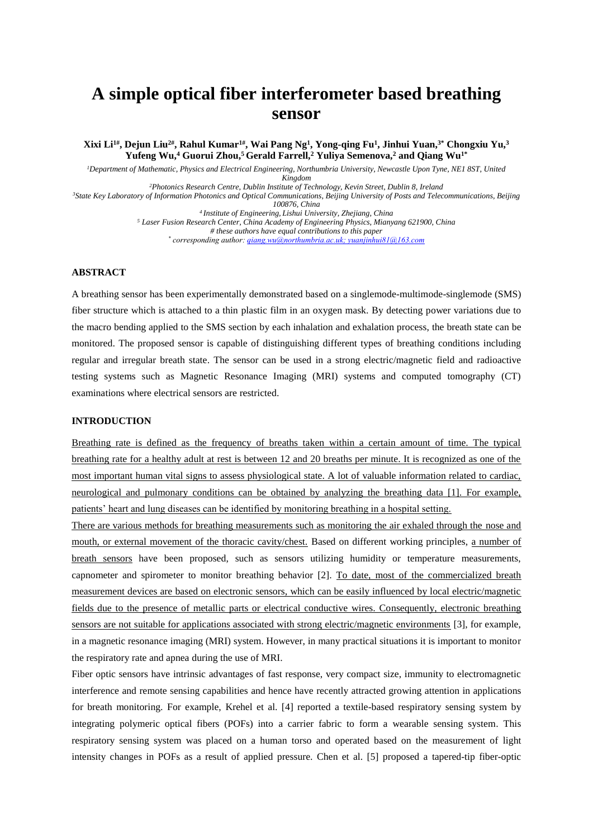# **A simple optical fiber interferometer based breathing sensor**

**Xixi Li1# , Dejun Liu2# , Rahul Kumar1# , Wai Pang Ng<sup>1</sup> , Yong-qing Fu<sup>1</sup> , Jinhui Yuan,3\* Chongxiu Yu,<sup>3</sup> Yufeng Wu,<sup>4</sup> Guorui Zhou,<sup>5</sup>Gerald Farrell,<sup>2</sup> Yuliya Semenova,<sup>2</sup> and Qiang Wu1\***

*<sup>1</sup>Department of Mathematic, Physics and Electrical Engineering, Northumbria University, Newcastle Upon Tyne, NE1 8ST, United Kingdom <sup>2</sup>Photonics Research Centre, Dublin Institute of Technology, Kevin Street, Dublin 8, Ireland*

*<sup>3</sup>State Key Laboratory of Information Photonics and Optical Communications, Beijing University of Posts and Telecommunications, Beijing 100876, China*

*<sup>4</sup>Institute of Engineering, Lishui University, Zhejiang, China <sup>5</sup> Laser Fusion Research Center, China Academy of Engineering Physics, Mianyang 621900, China*

*# these authors have equal contributions to this paper*

*\* corresponding author: [qiang.wu@northumbria.ac.uk;](mailto:qiang.wu@northumbria.ac.uk) yuanjinhui81@163.com*

## **ABSTRACT**

A breathing sensor has been experimentally demonstrated based on a singlemode-multimode-singlemode (SMS) fiber structure which is attached to a thin plastic film in an oxygen mask. By detecting power variations due to the macro bending applied to the SMS section by each inhalation and exhalation process, the breath state can be monitored. The proposed sensor is capable of distinguishing different types of breathing conditions including regular and irregular breath state. The sensor can be used in a strong electric/magnetic field and radioactive testing systems such as Magnetic Resonance Imaging (MRI) systems and computed tomography (CT) examinations where electrical sensors are restricted.

#### **INTRODUCTION**

Breathing rate is defined as the frequency of breaths taken within a certain amount of time. The typical breathing rate for a healthy adult at rest is between 12 and 20 breaths per minute. It is recognized as one of the most important human vital signs to assess physiological state. A lot of valuable information related to cardiac, neurological and pulmonary conditions can be obtained by analyzing the breathing data [1]. For example, patients' heart and lung diseases can be identified by monitoring breathing in a hospital setting.

There are various methods for breathing measurements such as monitoring the air exhaled through the nose and mouth, or external movement of the thoracic cavity/chest. Based on different working principles, a number of breath sensors have been proposed, such as sensors utilizing humidity or temperature measurements, capnometer and spirometer to monitor breathing behavior [2]. To date, most of the commercialized breath measurement devices are based on electronic sensors, which can be easily influenced by local electric/magnetic fields due to the presence of metallic parts or electrical conductive wires. Consequently, electronic breathing sensors are not suitable for applications associated with strong electric/magnetic environments [3], for example, in a magnetic resonance imaging (MRI) system. However, in many practical situations it is important to monitor the respiratory rate and apnea during the use of MRI.

Fiber optic sensors have intrinsic advantages of fast response, very compact size, immunity to electromagnetic interference and remote sensing capabilities and hence have recently attracted growing attention in applications for breath monitoring. For example, Krehel et al. [4] reported a textile-based respiratory sensing system by integrating polymeric optical fibers (POFs) into a carrier fabric to form a wearable sensing system. This respiratory sensing system was placed on a human torso and operated based on the measurement of light intensity changes in POFs as a result of applied pressure. Chen et al. [5] proposed a tapered-tip fiber-optic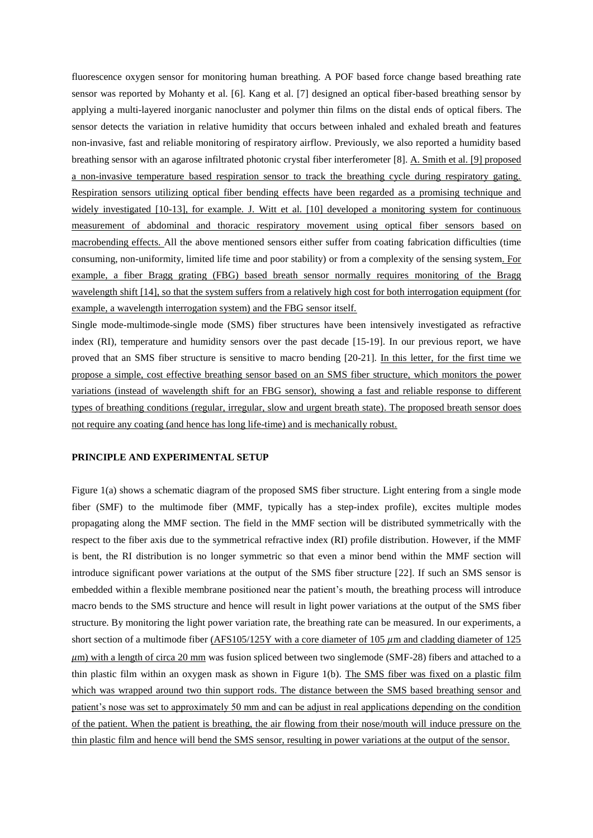fluorescence oxygen sensor for monitoring human breathing. A POF based force change based breathing rate sensor was reported by Mohanty et al. [6]. Kang et al. [7] designed an optical fiber-based breathing sensor by applying a multi-layered inorganic nanocluster and polymer thin films on the distal ends of optical fibers. The sensor detects the variation in relative humidity that occurs between inhaled and exhaled breath and features non-invasive, fast and reliable monitoring of respiratory airflow. Previously, we also reported a humidity based breathing sensor with an agarose infiltrated photonic crystal fiber interferometer [8]. A. Smith et al. [9] proposed a non-invasive temperature based respiration sensor to track the breathing cycle during respiratory gating. Respiration sensors utilizing optical fiber bending effects have been regarded as a promising technique and widely investigated [10-13], for example. J. Witt et al. [10] developed a monitoring system for continuous measurement of abdominal and thoracic respiratory movement using optical fiber sensors based on macrobending effects. All the above mentioned sensors either suffer from coating fabrication difficulties (time consuming, non-uniformity, limited life time and poor stability) or from a complexity of the sensing system. For example, a fiber Bragg grating (FBG) based breath sensor normally requires monitoring of the Bragg wavelength shift [14], so that the system suffers from a relatively high cost for both interrogation equipment (for example, a wavelength interrogation system) and the FBG sensor itself.

Single mode-multimode-single mode (SMS) fiber structures have been intensively investigated as refractive index (RI), temperature and humidity sensors over the past decade [15-19]. In our previous report, we have proved that an SMS fiber structure is sensitive to macro bending [20-21]. In this letter, for the first time we propose a simple, cost effective breathing sensor based on an SMS fiber structure, which monitors the power variations (instead of wavelength shift for an FBG sensor), showing a fast and reliable response to different types of breathing conditions (regular, irregular, slow and urgent breath state). The proposed breath sensor does not require any coating (and hence has long life-time) and is mechanically robust.

## **PRINCIPLE AND EXPERIMENTAL SETUP**

Figure 1(a) shows a schematic diagram of the proposed SMS fiber structure. Light entering from a single mode fiber (SMF) to the multimode fiber (MMF, typically has a step-index profile), excites multiple modes propagating along the MMF section. The field in the MMF section will be distributed symmetrically with the respect to the fiber axis due to the symmetrical refractive index (RI) profile distribution. However, if the MMF is bent, the RI distribution is no longer symmetric so that even a minor bend within the MMF section will introduce significant power variations at the output of the SMS fiber structure [22]. If such an SMS sensor is embedded within a flexible membrane positioned near the patient's mouth, the breathing process will introduce macro bends to the SMS structure and hence will result in light power variations at the output of the SMS fiber structure. By monitoring the light power variation rate, the breathing rate can be measured. In our experiments, a short section of a multimode fiber  $(AFS105/125Y \text{ with a core diameter of } 105 \mu \text{m and cladding diameter of } 125 \text{ m}$  $\mu$ m) with a length of circa 20 mm was fusion spliced between two singlemode (SMF-28) fibers and attached to a thin plastic film within an oxygen mask as shown in Figure 1(b). The SMS fiber was fixed on a plastic film which was wrapped around two thin support rods. The distance between the SMS based breathing sensor and patient's nose was set to approximately 50 mm and can be adjust in real applications depending on the condition of the patient. When the patient is breathing, the air flowing from their nose/mouth will induce pressure on the thin plastic film and hence will bend the SMS sensor, resulting in power variations at the output of the sensor.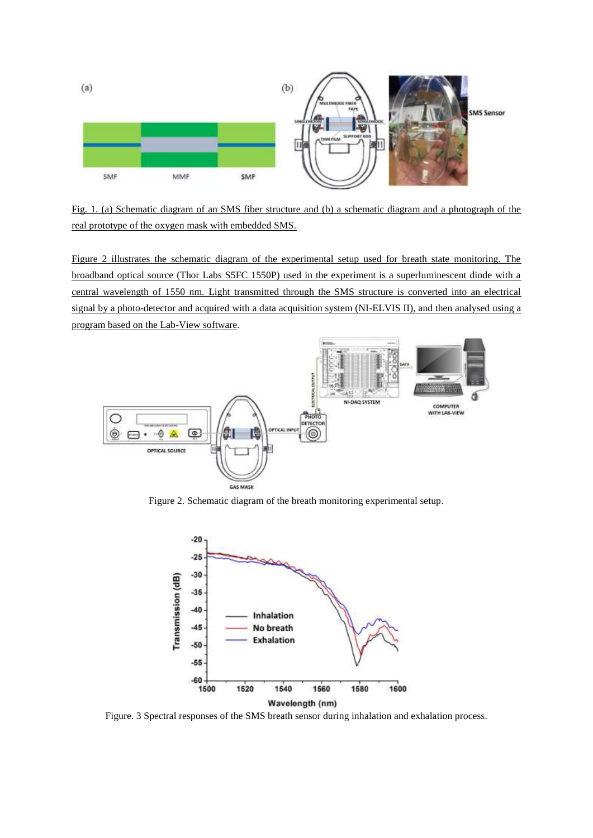

Fig. 1. (a) Schematic diagram of an SMS fiber structure and (b) a schematic diagram and a photograph of the real prototype of the oxygen mask with embedded SMS.

Figure 2 illustrates the schematic diagram of the experimental setup used for breath state monitoring. The broadband optical source (Thor Labs S5FC 1550P) used in the experiment is a superluminescent diode with a central wavelength of 1550 nm. Light transmitted through the SMS structure is converted into an electrical signal by a photo-detector and acquired with a data acquisition system (NI-ELVIS II), and then analysed using a program based on the Lab-View software.



Figure 2. Schematic diagram of the breath monitoring experimental setup.



Figure. 3 Spectral responses of the SMS breath sensor during inhalation and exhalation process.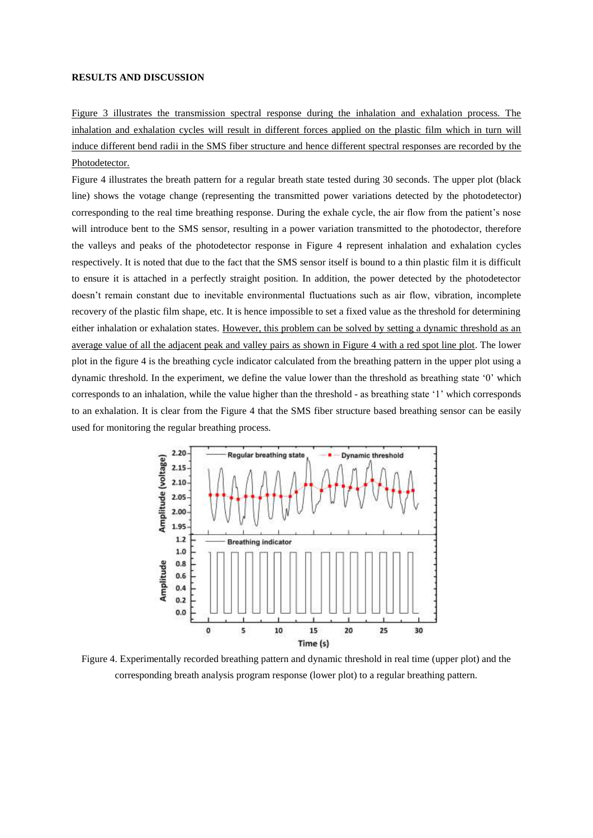#### **RESULTS AND DISCUSSION**

Figure 3 illustrates the transmission spectral response during the inhalation and exhalation process. The inhalation and exhalation cycles will result in different forces applied on the plastic film which in turn will induce different bend radii in the SMS fiber structure and hence different spectral responses are recorded by the Photodetector.

Figure 4 illustrates the breath pattern for a regular breath state tested during 30 seconds. The upper plot (black line) shows the votage change (representing the transmitted power variations detected by the photodetector) corresponding to the real time breathing response. During the exhale cycle, the air flow from the patient's nose will introduce bent to the SMS sensor, resulting in a power variation transmitted to the photodector, therefore the valleys and peaks of the photodetector response in Figure 4 represent inhalation and exhalation cycles respectively. It is noted that due to the fact that the SMS sensor itself is bound to a thin plastic film it is difficult to ensure it is attached in a perfectly straight position. In addition, the power detected by the photodetector doesn't remain constant due to inevitable environmental fluctuations such as air flow, vibration, incomplete recovery of the plastic film shape, etc. It is hence impossible to set a fixed value as the threshold for determining either inhalation or exhalation states. However, this problem can be solved by setting a dynamic threshold as an average value of all the adjacent peak and valley pairs as shown in Figure 4 with a red spot line plot. The lower plot in the figure 4 is the breathing cycle indicator calculated from the breathing pattern in the upper plot using a dynamic threshold. In the experiment, we define the value lower than the threshold as breathing state '0' which corresponds to an inhalation, while the value higher than the threshold - as breathing state '1' which corresponds to an exhalation. It is clear from the Figure 4 that the SMS fiber structure based breathing sensor can be easily used for monitoring the regular breathing process.



Figure 4. Experimentally recorded breathing pattern and dynamic threshold in real time (upper plot) and the corresponding breath analysis program response (lower plot) to a regular breathing pattern.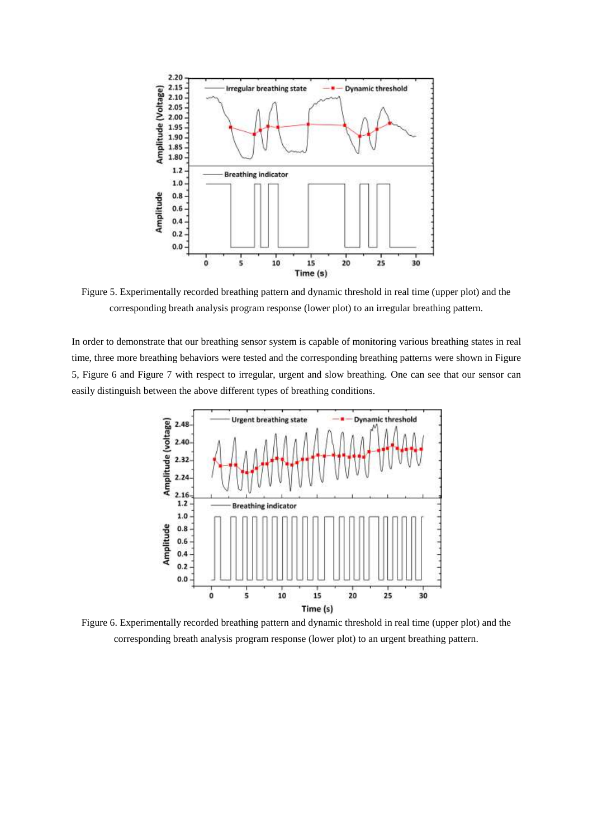

Figure 5. Experimentally recorded breathing pattern and dynamic threshold in real time (upper plot) and the corresponding breath analysis program response (lower plot) to an irregular breathing pattern.

In order to demonstrate that our breathing sensor system is capable of monitoring various breathing states in real time, three more breathing behaviors were tested and the corresponding breathing patterns were shown in Figure 5, Figure 6 and Figure 7 with respect to irregular, urgent and slow breathing. One can see that our sensor can easily distinguish between the above different types of breathing conditions.



Figure 6. Experimentally recorded breathing pattern and dynamic threshold in real time (upper plot) and the corresponding breath analysis program response (lower plot) to an urgent breathing pattern.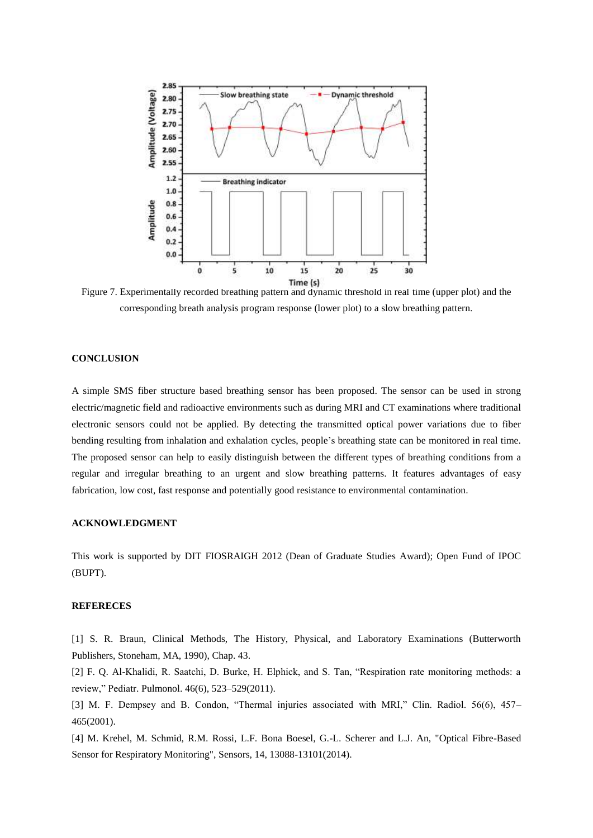

Figure 7. Experimentally recorded breathing pattern and dynamic threshold in real time (upper plot) and the corresponding breath analysis program response (lower plot) to a slow breathing pattern.

## **CONCLUSION**

A simple SMS fiber structure based breathing sensor has been proposed. The sensor can be used in strong electric/magnetic field and radioactive environments such as during MRI and CT examinations where traditional electronic sensors could not be applied. By detecting the transmitted optical power variations due to fiber bending resulting from inhalation and exhalation cycles, people's breathing state can be monitored in real time. The proposed sensor can help to easily distinguish between the different types of breathing conditions from a regular and irregular breathing to an urgent and slow breathing patterns. It features advantages of easy fabrication, low cost, fast response and potentially good resistance to environmental contamination.

# **ACKNOWLEDGMENT**

This work is supported by DIT FIOSRAIGH 2012 (Dean of Graduate Studies Award); Open Fund of IPOC (BUPT).

#### **REFERECES**

[1] S. R. Braun, Clinical Methods, The History, Physical, and Laboratory Examinations (Butterworth Publishers, Stoneham, MA, 1990), Chap. 43.

[2] F. Q. Al-Khalidi, R. Saatchi, D. Burke, H. Elphick, and S. Tan, "Respiration rate monitoring methods: a review," Pediatr. Pulmonol. 46(6), 523–529(2011).

[3] M. F. Dempsey and B. Condon, "Thermal injuries associated with MRI," Clin. Radiol. 56(6), 457– 465(2001).

[4] M. Krehel, M. Schmid, R.M. Rossi, L.F. Bona Boesel, G.-L. Scherer and L.J. An, "Optical Fibre-Based Sensor for Respiratory Monitoring", Sensors, 14, 13088-13101(2014).